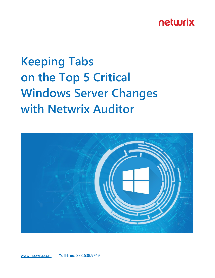# **Keeping Tabs on the Top 5 Critical Windows Server Changes with Netwrix Auditor**

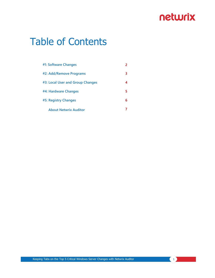# Table of Contents

| #1: Software Changes             |   |
|----------------------------------|---|
| #2: Add/Remove Programs          | 3 |
| #3: Local User and Group Changes | 4 |
| #4: Hardware Changes             | 5 |
| #5: Registry Changes             | 6 |
| <b>About Netwrix Auditor</b>     |   |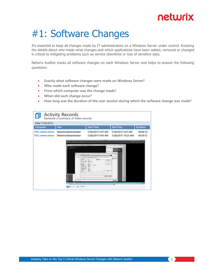# #1: Software Changes

It's essential to keep all changes made by IT administrators on a Windows Server under control. Knowing the details about who made what changes and which applications have been added, removed or changed is critical to mitigating problems such as service downtime or loss of sensitive data.

Netwrix Auditor tracks all software changes on each Windows Server and helps to answer the following questions:

- **Exactly what software changes were made on Windows Server?**
- **Who made each software change?**
- **From which computer was the change made?**
- **When did each change occur?**
- **How long was the duration of the user session during which the software change was made?**

|                                      | <b>Activity Records</b><br>Generate a summary of video records                                                                                                                                                                                                                                                        |                                                                                                                                                                                                                                                                                                                                                                                                                                                                                                                                                                                                           |                                                        |                                                    |
|--------------------------------------|-----------------------------------------------------------------------------------------------------------------------------------------------------------------------------------------------------------------------------------------------------------------------------------------------------------------------|-----------------------------------------------------------------------------------------------------------------------------------------------------------------------------------------------------------------------------------------------------------------------------------------------------------------------------------------------------------------------------------------------------------------------------------------------------------------------------------------------------------------------------------------------------------------------------------------------------------|--------------------------------------------------------|----------------------------------------------------|
| Date 7/30/2015                       |                                                                                                                                                                                                                                                                                                                       |                                                                                                                                                                                                                                                                                                                                                                                                                                                                                                                                                                                                           |                                                        |                                                    |
| Computer                             | <b>User</b>                                                                                                                                                                                                                                                                                                           | <b>Start Time</b>                                                                                                                                                                                                                                                                                                                                                                                                                                                                                                                                                                                         | <b>End Time</b>                                        | Duration                                           |
| PDC.netwrix.demo<br>PDC.netwrix.demo | Netwrix\Administrator<br>Netwrix\Administrator                                                                                                                                                                                                                                                                        | 7/30/2015 5:47 AM<br>7/28/2015 9:43 AM                                                                                                                                                                                                                                                                                                                                                                                                                                                                                                                                                                    | 7/30/2015 5:47 AM<br>7/28/2015 10:23 AM                | 00:00:10<br>00:39:12                               |
|                                      | G . Sena Masapr . Lool Senat<br>three the first days. Although the top the product and<br><b>START BOY</b><br>Art for its home time of<br>$x = \overline{H}$ is<br><b>Lucature</b><br>49.4<br>$-1$<br><b>CENT CREW</b><br><b>AT UNK WITH</b><br>$1149 - 44$<br><b>Buyer</b><br><b>LUX 2018</b><br>$14 - 14 - 49 - 49$ | $\overline{1}$ as $\overline{4}$<br>For play think all account<br><b>TOUR ALBORN</b><br>ALL TERM LA AL<br>The parties of the parties to be a parties of the control of the con-<br><b>Mekaniki</b><br>The Africa<br>market 12<br>Scott was called<br>ally company and in a manufacture<br><b>CARD IN</b><br>20.00<br>Sep 26<br>5.61<br><b>COLLEGE</b><br><b>British Co.</b><br><b>State State</b><br><b>Carpenter</b><br><b>Calle</b> com<br>Fight the<br><b>Contract Contract</b><br><b>Bally Process</b><br>for an a face faces a count offerit and in a set of an a commissions in funds one<br>$-100$ | <b>LARCORN</b><br>45-140<br>a.<br><b>AND</b><br>netweb | GIF me to me to<br>-14 W W W 200<br>$\overline{a}$ |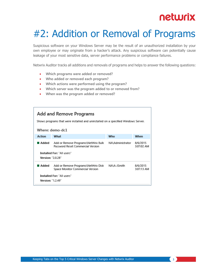# #2: Addition or Removal of Programs

Suspicious software on your Windows Server may be the result of an unauthorized installation by your own employee or may originate from a hacker's attack. Any suspicious software can potentially cause leakage of your most sensitive data, server performance problems or compliance failures.

Netwrix Auditor tracks all additions and removals of programs and helps to answer the following questions:

- **Which programs were added or removed?**
- **Who added or removed each program?**
- **Which actions were performed using the program?**
- **Which server was the program added to or removed from?**
- **When was the program added or removed?**

| Add and Remove Programs<br>Shows programs that were installed and uninstalled on a specified Windows Server.<br>Where: demo-dc1 |                                                                          |                  |                        |  |
|---------------------------------------------------------------------------------------------------------------------------------|--------------------------------------------------------------------------|------------------|------------------------|--|
| <b>Action</b>                                                                                                                   | What                                                                     | <b>Who</b>       | When                   |  |
| ∎ Added                                                                                                                         | Add or Remove Programs\NetWrix Bulk<br>Password Reset Commercial Version | NA\Administrator | 8/6/2015<br>3:07:02 AM |  |
| <b>Installed For: "All users"</b>                                                                                               |                                                                          |                  |                        |  |
| Version: "2.0.28"                                                                                                               |                                                                          |                  |                        |  |
| ∎ Added                                                                                                                         | Add or Remove Programs\NetWrix Disk<br>Space Monitor Commercial Version  | NA\A-JSmith      | 8/6/2015<br>3:07:13 AM |  |
| Installed For: "All users"                                                                                                      |                                                                          |                  |                        |  |
| Version: "1.2.49"                                                                                                               |                                                                          |                  |                        |  |

Keeping Tabs on the Top 5 Critical Windows Server Changes with Netwrix Auditor **3**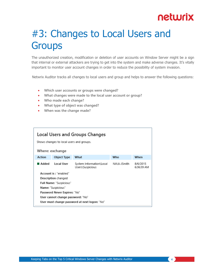# #3: Changes to Local Users and **Groups**

The unauthorized creation, modification or deletion of user accounts on Window Server might be a sign that internal or external attackers are trying to get into the system and make adverse changes. It's vitally important to monitor user account changes in order to reduce the possibility of system invasion.

Netwrix Auditor tracks all changes to local users and group and helps to answer the following questions:

- **Which user accounts or groups were changed?**
- **What changes were made to the local user account or group?**
- **Who made each change?**
- **What type of object was changed?**
- **When was the change made?**

| Local Users and Groups Changes<br>Shows changes to local users and groups.<br>Where: exchange |             |                                              |             |                        |
|-----------------------------------------------------------------------------------------------|-------------|----------------------------------------------|-------------|------------------------|
| <b>Action</b>                                                                                 | Object Type | What                                         | Who         | When                   |
| ∎ Added                                                                                       | Local User  | System Information\Local<br>Users\Suspicious | NA\A-JSmith | 8/6/2015<br>6:36:39 AM |
| Account is: "enabled"                                                                         |             |                                              |             |                        |
| Description changed                                                                           |             |                                              |             |                        |
| Full Name: "Suspicious"                                                                       |             |                                              |             |                        |
| Name: "Suspicious"                                                                            |             |                                              |             |                        |
| Password Never Expires: "No"                                                                  |             |                                              |             |                        |
| User cannot change password: "No"                                                             |             |                                              |             |                        |
| User must change password at next logon: "No"                                                 |             |                                              |             |                        |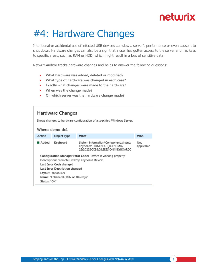# #4: Hardware Changes

Intentional or accidental use of infected USB devices can slow a server's performance or even cause it to shut down. Hardware changes can also be a sign that a user has gotten access to the server and has keys to specific areas, such as RAM or HDD, which might result in a loss of sensitive data.

Netwrix Auditor tracks hardware changes and helps to answer the following questions:

- **What hardware was added, deleted or modified?**
- **What type of hardware was changed in each case?**
- **Exactly what changes were made to the hardware?**
- **When was the change made?**
- **On which server was the hardware change made?**

| Hardware Changes<br>Shows changes to hardware configuration of a specified Windows Server.<br>Where: demo-dc1 |             |                                                                                                       |                   |
|---------------------------------------------------------------------------------------------------------------|-------------|-------------------------------------------------------------------------------------------------------|-------------------|
| <b>Action</b>                                                                                                 | Object Type | What                                                                                                  | Who               |
| ∎ Added                                                                                                       | Keyboard    | System Information\Components\Input\<br>Keyboard\TERMINPUT BUS\UMB\<br>2&2C22BCC9&0&SESSION1KEYBOARD0 | Not<br>applicable |
| Configuration Manager Error Code: "Device is working properly"                                                |             |                                                                                                       |                   |
| Description: "Remote Desktop Keyboard Device"<br>Last Error Code changed                                      |             |                                                                                                       |                   |
| Last Error Description changed                                                                                |             |                                                                                                       |                   |
| Layout: "00000409"                                                                                            |             |                                                                                                       |                   |
| Name: "Enhanced (101- or 102-key)"                                                                            |             |                                                                                                       |                   |
| Status: "OK"                                                                                                  |             |                                                                                                       |                   |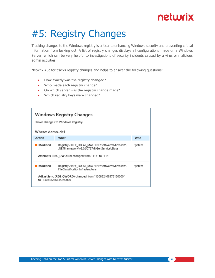# #5: Registry Changes

Tracking changes to the Windows registry is critical to enhancing Windows security and preventing critical information from leaking out. A list of registry changes displays all configurations made on a Windows Server, which can be very helpful to investigations of security incidents caused by a virus or malicious admin activities.

Netwrix Auditor tracks registry changes and helps to answer the following questions:

- **How exactly was the registry changed?**
- **Who made each registry change?**
- **On which server was the registry change made?**
- **Which registry keys were changed?**

| Where: demo-dc1                                                                     | Windows Registry Changes<br>Shows changes to Windows Registry.                                |        |  |
|-------------------------------------------------------------------------------------|-----------------------------------------------------------------------------------------------|--------|--|
| Action                                                                              | What                                                                                          | Who    |  |
| ■ Modified                                                                          | Registry\HKEY_LOCAL_MACHINE\software\Microsoft\<br>.NETFramework\v2.0.50727\NGenService\State | system |  |
| Attempts (REG DWORD) changed from "113" to "114"                                    |                                                                                               |        |  |
| Modified                                                                            | Registry\HKEY_LOCAL_MACHINE\software\Microsoft\<br>FileClassificationInfrastructure           | system |  |
| AdLastSync (REG QWORD) changed from "130832408376150000"<br>to "130833266615290000" |                                                                                               |        |  |